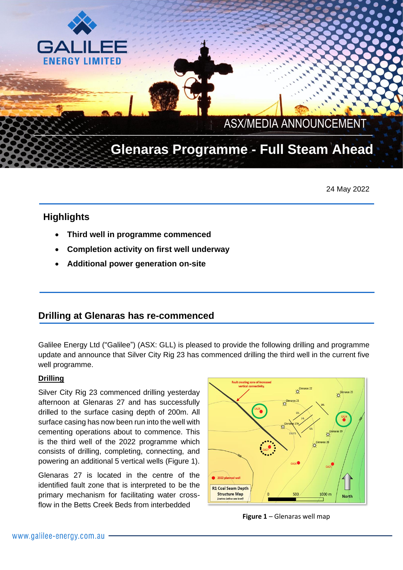

 $\mathcal{L} \neq \mathcal{L}$ 

# **Glenaras Programme - Full Steam Ahead** \_\_\_\_\_\_\_\_\_\_\_\_\_\_\_\_\_\_\_\_\_\_\_\_\_\_\_\_ \_

24 May 2022

## **Highlights**

GA

**FNFRGY LIMITED** 

- **Third well in programme commenced**
- **Completion activity on first well underway**
- **Additional power generation on-site**

### **Drilling at Glenaras has re-commenced**

Galilee Energy Ltd ("Galilee") (ASX: GLL) is pleased to provide the following drilling and programme update and announce that Silver City Rig 23 has commenced drilling the third well in the current five well programme.

#### **Drilling**

Silver City Rig 23 commenced drilling yesterday afternoon at Glenaras 27 and has successfully drilled to the surface casing depth of 200m. All surface casing has now been run into the well with cementing operations about to commence. This is the third well of the 2022 programme which consists of drilling, completing, connecting, and powering an additional 5 vertical wells (Figure 1).

Glenaras 27 is located in the centre of the identified fault zone that is interpreted to be the primary mechanism for facilitating water crossflow in the Betts Creek Beds from interbedded



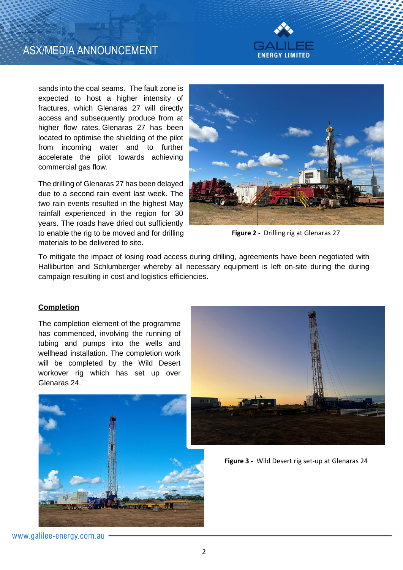# ASX/MEDIA ANNOUNCEMENT



sands into the coal seams. The fault zone is expected to host a higher intensity of fractures, which Glenaras 27 will directly access and subsequently produce from at higher flow rates. Glenaras 27 has been located to optimise the shielding of the pilot from incoming water and to further accelerate the pilot towards achieving commercial gas flow.

The drilling of Glenaras 27 has been delayed due to a second rain event last week. The two rain events resulted in the highest May rainfall experienced in the region for 30 years. The roads have dried out sufficiently to enable the rig to be moved and for drilling materials to be delivered to site.



**Figure 2 -** Drilling rig at Glenaras 27

To mitigate the impact of losing road access during drilling, agreements have been negotiated with Halliburton and Schlumberger whereby all necessary equipment is left on-site during the during campaign resulting in cost and logistics efficiencies.

#### **Completion**

The completion element of the programme has commenced, involving the running of tubing and pumps into the wells and wellhead installation. The completion work will be completed by the Wild Desert workover rig which has set up over Glenaras 24.





**Figure 3 -** Wild Desert rig set-up at Glenaras 24

www.galilee-energy.com.au -